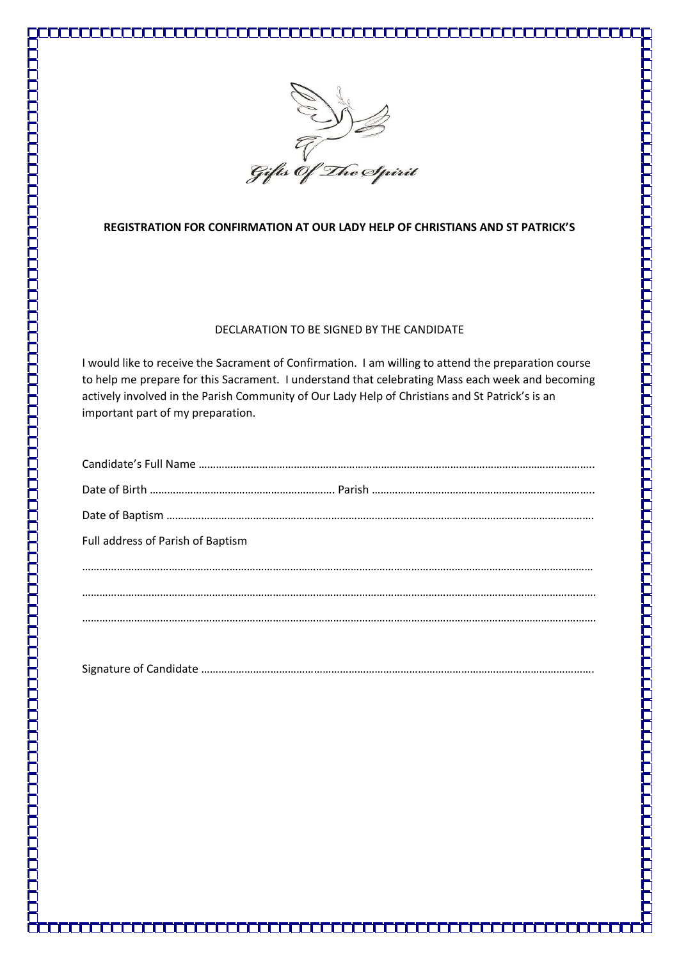

## **REGISTRATION FOR CONFIRMATION AT OUR LADY HELP OF CHRISTIANS AND ST PATRICK'S**

## DECLARATION TO BE SIGNED BY THE CANDIDATE

I would like to receive the Sacrament of Confirmation. I am willing to attend the preparation course to help me prepare for this Sacrament. I understand that celebrating Mass each week and becoming actively involved in the Parish Community of Our Lady Help of Christians and St Patrick's is an important part of my preparation.

| Full address of Parish of Baptism |
|-----------------------------------|
|                                   |
|                                   |
|                                   |
|                                   |

|--|--|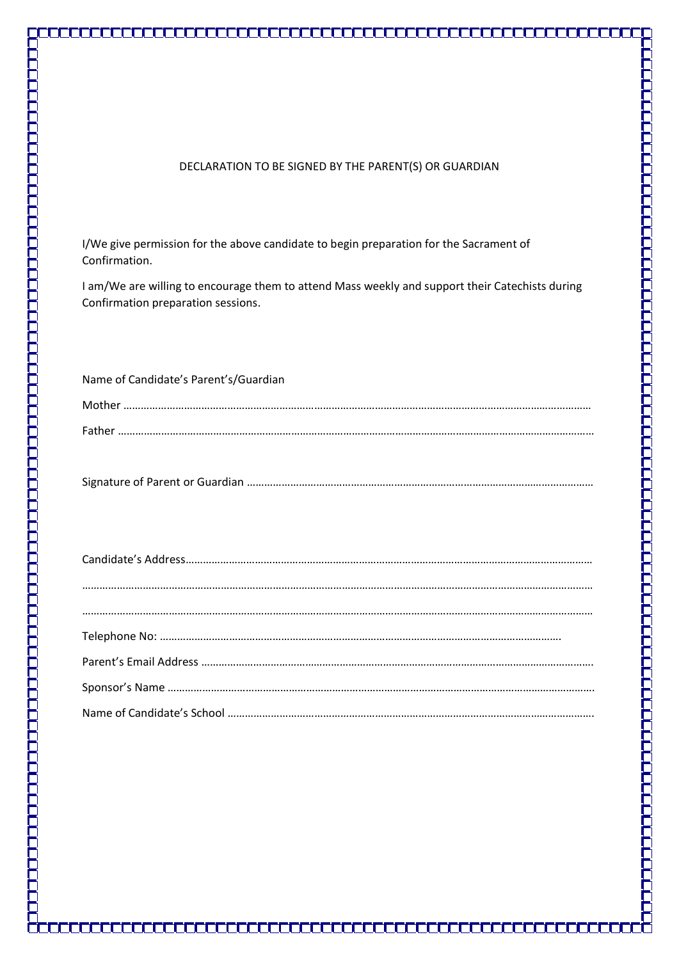## DECLARATION TO BE SIGNED BY THE PARENT(S) OR GUARDIAN

I/We give permission for the above candidate to begin preparation for the Sacrament of Confirmation.

I am/We are willing to encourage them to attend Mass weekly and support their Catechists during Confirmation preparation sessions.

| Name of Candidate's Parent's/Guardian |  |
|---------------------------------------|--|
|                                       |  |
|                                       |  |

Signature of Parent or Guardian …………………………………………………………………………………………………………

ŪГ